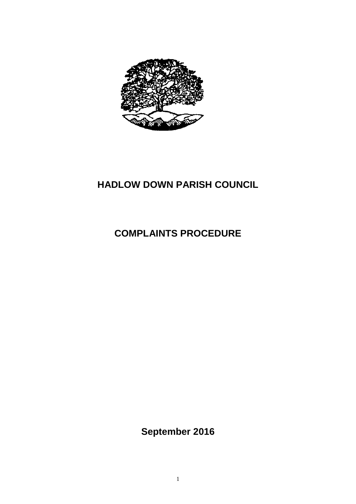

# **HADLOW DOWN PARISH COUNCIL**

# **COMPLAINTS PROCEDURE**

**September 2016**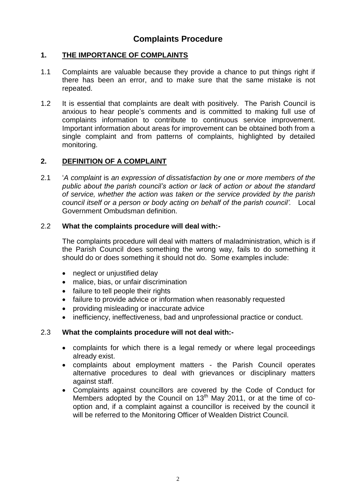# **Complaints Procedure**

### **1. THE IMPORTANCE OF COMPLAINTS**

- 1.1 Complaints are valuable because they provide a chance to put things right if there has been an error, and to make sure that the same mistake is not repeated.
- 1.2 It is essential that complaints are dealt with positively. The Parish Council is anxious to hear people's comments and is committed to making full use of complaints information to contribute to continuous service improvement. Important information about areas for improvement can be obtained both from a single complaint and from patterns of complaints, highlighted by detailed monitoring.

#### **2. DEFINITION OF A COMPLAINT**

2.1 '*A complaint* is *an expression of dissatisfaction by one or more members of the public about the parish council's action or lack of action or about the standard of service, whether the action was taken or the service provided by the parish council itself or a person or body acting on behalf of the parish council'.* Local Government Ombudsman definition.

#### 2.2 **What the complaints procedure will deal with:-**

The complaints procedure will deal with matters of maladministration, which is if the Parish Council does something the wrong way, fails to do something it should do or does something it should not do. Some examples include:

- neglect or unjustified delay
- malice, bias, or unfair discrimination
- failure to tell people their rights
- failure to provide advice or information when reasonably requested
- providing misleading or inaccurate advice
- inefficiency, ineffectiveness, bad and unprofessional practice or conduct.

#### 2.3 **What the complaints procedure will not deal with:-**

- complaints for which there is a legal remedy or where legal proceedings already exist.
- complaints about employment matters the Parish Council operates alternative procedures to deal with grievances or disciplinary matters against staff.
- Complaints against councillors are covered by the Code of Conduct for Members adopted by the Council on 13<sup>th</sup> May 2011, or at the time of cooption and, if a complaint against a councillor is received by the council it will be referred to the Monitoring Officer of Wealden District Council.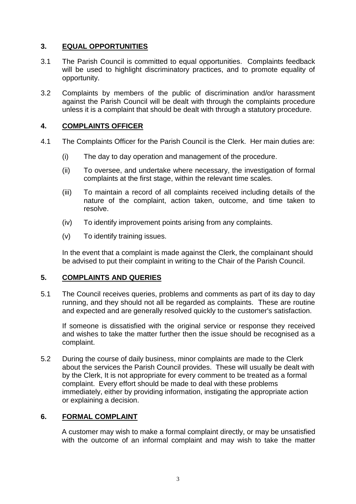### **3. EQUAL OPPORTUNITIES**

- 3.1 The Parish Council is committed to equal opportunities. Complaints feedback will be used to highlight discriminatory practices, and to promote equality of opportunity.
- 3.2 Complaints by members of the public of discrimination and/or harassment against the Parish Council will be dealt with through the complaints procedure unless it is a complaint that should be dealt with through a statutory procedure.

#### **4. COMPLAINTS OFFICER**

- 4.1 The Complaints Officer for the Parish Council is the Clerk. Her main duties are:
	- (i) The day to day operation and management of the procedure.
	- (ii) To oversee, and undertake where necessary, the investigation of formal complaints at the first stage, within the relevant time scales.
	- (iii) To maintain a record of all complaints received including details of the nature of the complaint, action taken, outcome, and time taken to resolve.
	- (iv) To identify improvement points arising from any complaints.
	- (v) To identify training issues.

In the event that a complaint is made against the Clerk, the complainant should be advised to put their complaint in writing to the Chair of the Parish Council.

# **5. COMPLAINTS AND QUERIES**

5.1 The Council receives queries, problems and comments as part of its day to day running, and they should not all be regarded as complaints. These are routine and expected and are generally resolved quickly to the customer's satisfaction.

If someone is dissatisfied with the original service or response they received and wishes to take the matter further then the issue should be recognised as a complaint.

5.2 During the course of daily business, minor complaints are made to the Clerk about the services the Parish Council provides. These will usually be dealt with by the Clerk, It is not appropriate for every comment to be treated as a formal complaint. Every effort should be made to deal with these problems immediately, either by providing information, instigating the appropriate action or explaining a decision.

# **6. FORMAL COMPLAINT**

A customer may wish to make a formal complaint directly, or may be unsatisfied with the outcome of an informal complaint and may wish to take the matter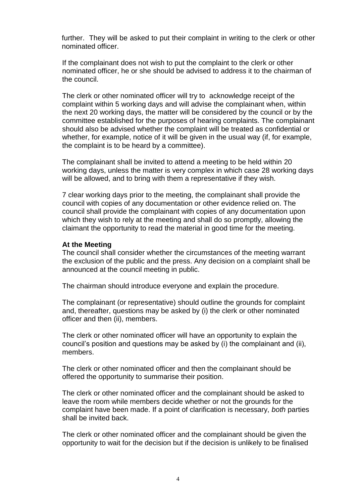further. They will be asked to put their complaint in writing to the clerk or other nominated officer.

If the complainant does not wish to put the complaint to the clerk or other nominated officer, he or she should be advised to address it to the chairman of the council.

The clerk or other nominated officer will try to acknowledge receipt of the complaint within 5 working days and will advise the complainant when, within the next 20 working days, the matter will be considered by the council or by the committee established for the purposes of hearing complaints. The complainant should also be advised whether the complaint will be treated as confidential or whether, for example, notice of it will be given in the usual way (if, for example, the complaint is to be heard by a committee).

The complainant shall be invited to attend a meeting to be held within 20 working days, unless the matter is very complex in which case 28 working days will be allowed, and to bring with them a representative if they wish.

7 clear working days prior to the meeting, the complainant shall provide the council with copies of any documentation or other evidence relied on. The council shall provide the complainant with copies of any documentation upon which they wish to rely at the meeting and shall do so promptly, allowing the claimant the opportunity to read the material in good time for the meeting.

#### **At the Meeting**

The council shall consider whether the circumstances of the meeting warrant the exclusion of the public and the press. Any decision on a complaint shall be announced at the council meeting in public.

The chairman should introduce everyone and explain the procedure.

The complainant (or representative) should outline the grounds for complaint and, thereafter, questions may be asked by (i) the clerk or other nominated officer and then (ii), members.

The clerk or other nominated officer will have an opportunity to explain the council's position and questions may be asked by (i) the complainant and (ii), members.

The clerk or other nominated officer and then the complainant should be offered the opportunity to summarise their position.

The clerk or other nominated officer and the complainant should be asked to leave the room while members decide whether or not the grounds for the complaint have been made. If a point of clarification is necessary, *both* parties shall be invited back.

The clerk or other nominated officer and the complainant should be given the opportunity to wait for the decision but if the decision is unlikely to be finalised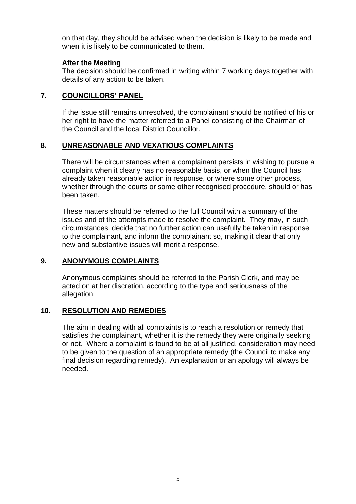on that day, they should be advised when the decision is likely to be made and when it is likely to be communicated to them.

#### **After the Meeting**

The decision should be confirmed in writing within 7 working days together with details of any action to be taken.

### **7. COUNCILLORS' PANEL**

If the issue still remains unresolved, the complainant should be notified of his or her right to have the matter referred to a Panel consisting of the Chairman of the Council and the local District Councillor.

# **8. UNREASONABLE AND VEXATIOUS COMPLAINTS**

There will be circumstances when a complainant persists in wishing to pursue a complaint when it clearly has no reasonable basis, or when the Council has already taken reasonable action in response, or where some other process, whether through the courts or some other recognised procedure, should or has been taken.

These matters should be referred to the full Council with a summary of the issues and of the attempts made to resolve the complaint. They may, in such circumstances, decide that no further action can usefully be taken in response to the complainant, and inform the complainant so, making it clear that only new and substantive issues will merit a response.

#### **9. ANONYMOUS COMPLAINTS**

Anonymous complaints should be referred to the Parish Clerk, and may be acted on at her discretion, according to the type and seriousness of the allegation.

#### **10. RESOLUTION AND REMEDIES**

The aim in dealing with all complaints is to reach a resolution or remedy that satisfies the complainant, whether it is the remedy they were originally seeking or not. Where a complaint is found to be at all justified, consideration may need to be given to the question of an appropriate remedy (the Council to make any final decision regarding remedy). An explanation or an apology will always be needed.